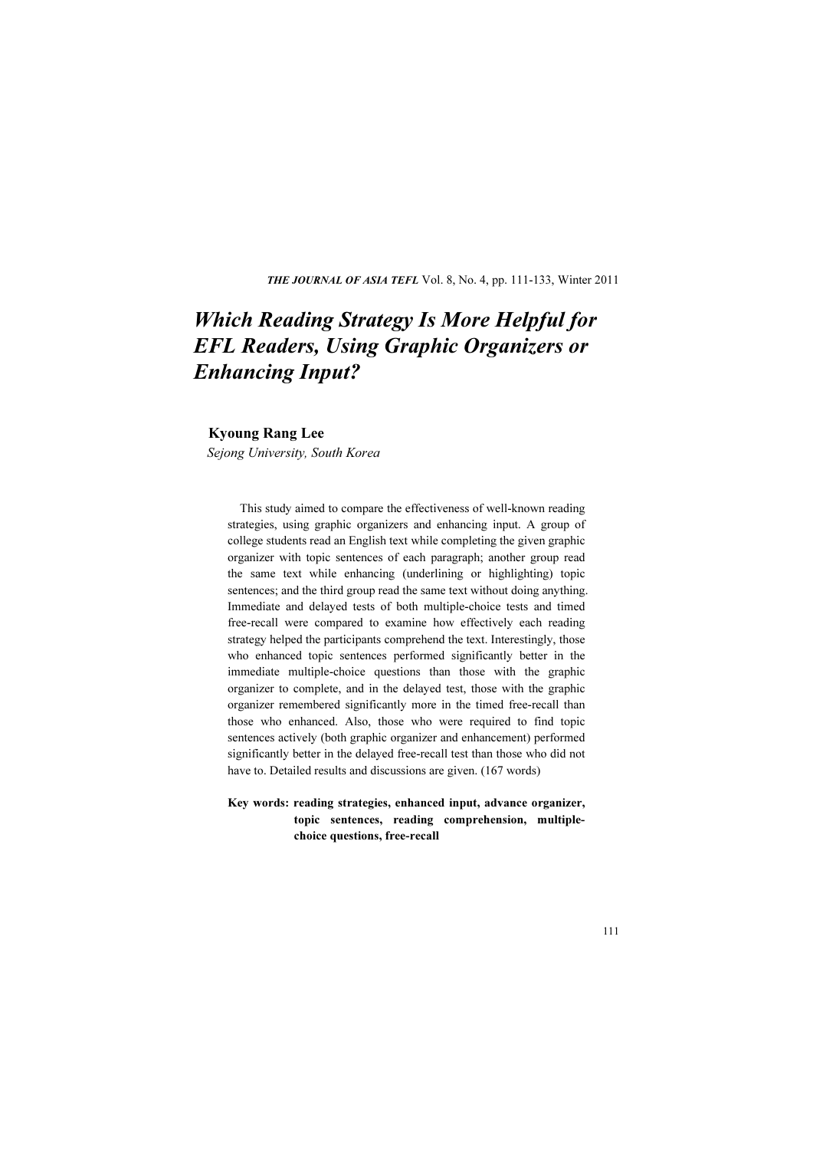THE JOURNAL OF ASIA TEFL Vol. 8, No. 4, pp. 111-133, Winter 2011

# Which Reading Strategy Is More Helpful for EFL Readers, Using Graphic Organizers or Enhancing Input?

#### Kyoung Rang Lee

Sejong University, South Korea

This study aimed to compare the effectiveness of well-known reading strategies, using graphic organizers and enhancing input. A group of college students read an English text while completing the given graphic organizer with topic sentences of each paragraph; another group read the same text while enhancing (underlining or highlighting) topic sentences; and the third group read the same text without doing anything. Immediate and delayed tests of both multiple-choice tests and timed free-recall were compared to examine how effectively each reading strategy helped the participants comprehend the text. Interestingly, those who enhanced topic sentences performed significantly better in the immediate multiple-choice questions than those with the graphic organizer to complete, and in the delayed test, those with the graphic organizer remembered significantly more in the timed free-recall than those who enhanced. Also, those who were required to find topic sentences actively (both graphic organizer and enhancement) performed significantly better in the delayed free-recall test than those who did not have to. Detailed results and discussions are given. (167 words)

Key words: reading strategies, enhanced input, advance organizer, topic sentences, reading comprehension, multiplechoice questions, free-recall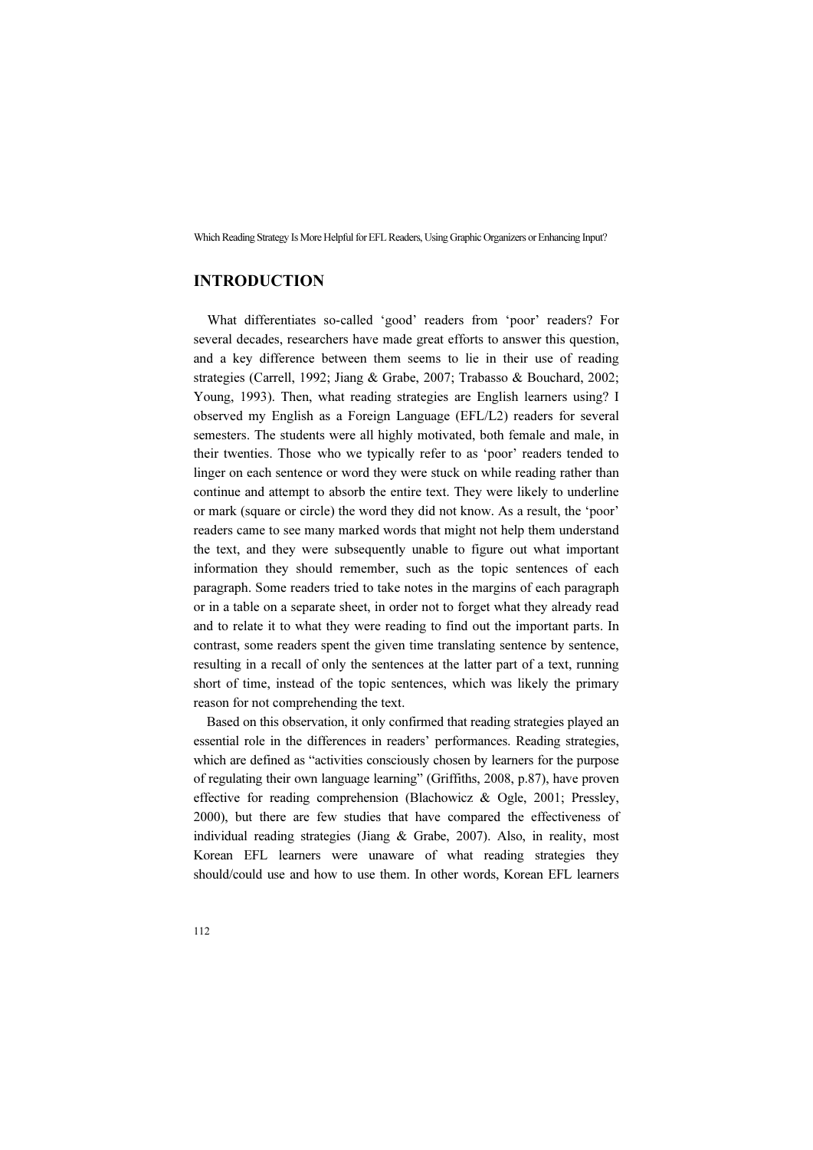# INTRODUCTION

What differentiates so-called 'good' readers from 'poor' readers? For several decades, researchers have made great efforts to answer this question, and a key difference between them seems to lie in their use of reading strategies (Carrell, 1992; Jiang & Grabe, 2007; Trabasso & Bouchard, 2002; Young, 1993). Then, what reading strategies are English learners using? I observed my English as a Foreign Language (EFL/L2) readers for several semesters. The students were all highly motivated, both female and male, in their twenties. Those who we typically refer to as 'poor' readers tended to linger on each sentence or word they were stuck on while reading rather than continue and attempt to absorb the entire text. They were likely to underline or mark (square or circle) the word they did not know. As a result, the 'poor' readers came to see many marked words that might not help them understand the text, and they were subsequently unable to figure out what important information they should remember, such as the topic sentences of each paragraph. Some readers tried to take notes in the margins of each paragraph or in a table on a separate sheet, in order not to forget what they already read and to relate it to what they were reading to find out the important parts. In contrast, some readers spent the given time translating sentence by sentence, resulting in a recall of only the sentences at the latter part of a text, running short of time, instead of the topic sentences, which was likely the primary reason for not comprehending the text.

Based on this observation, it only confirmed that reading strategies played an essential role in the differences in readers' performances. Reading strategies, which are defined as "activities consciously chosen by learners for the purpose of regulating their own language learning" (Griffiths, 2008, p.87), have proven effective for reading comprehension (Blachowicz & Ogle, 2001; Pressley, 2000), but there are few studies that have compared the effectiveness of individual reading strategies (Jiang & Grabe, 2007). Also, in reality, most Korean EFL learners were unaware of what reading strategies they should/could use and how to use them. In other words, Korean EFL learners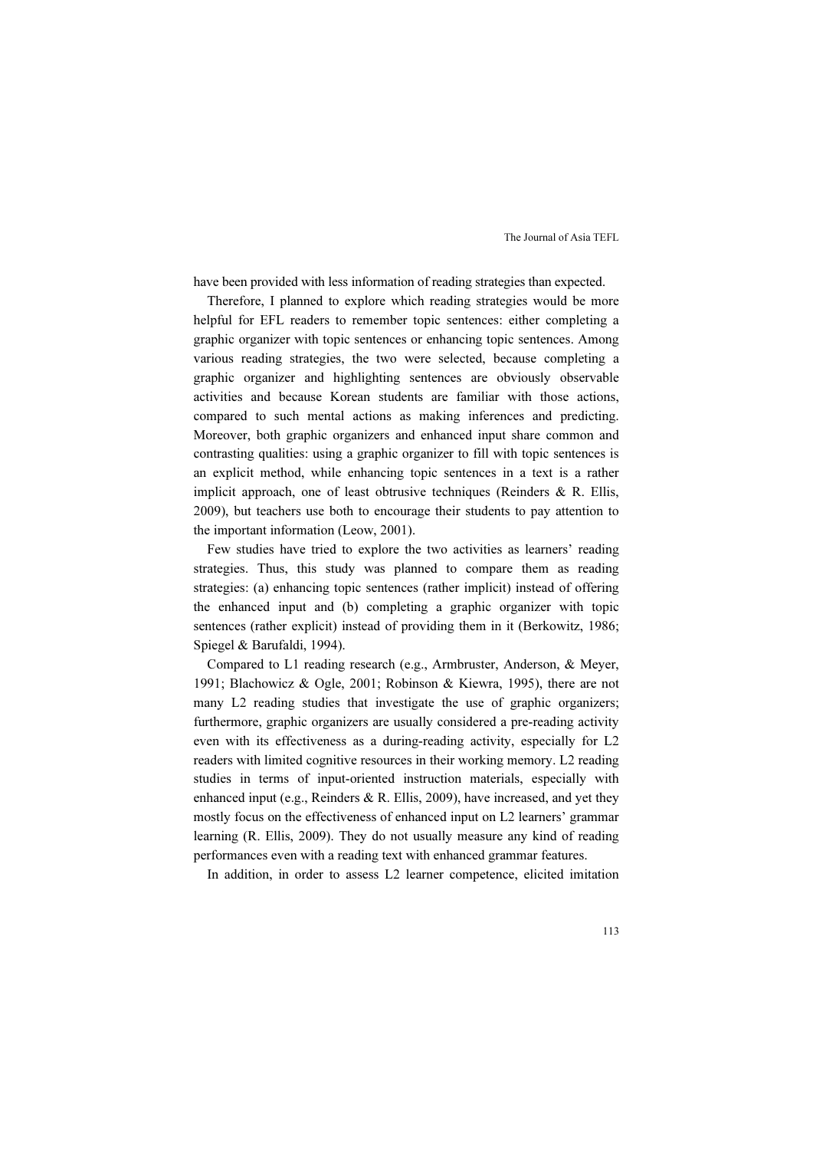have been provided with less information of reading strategies than expected.

Therefore, I planned to explore which reading strategies would be more helpful for EFL readers to remember topic sentences: either completing a graphic organizer with topic sentences or enhancing topic sentences. Among various reading strategies, the two were selected, because completing a graphic organizer and highlighting sentences are obviously observable activities and because Korean students are familiar with those actions, compared to such mental actions as making inferences and predicting. Moreover, both graphic organizers and enhanced input share common and contrasting qualities: using a graphic organizer to fill with topic sentences is an explicit method, while enhancing topic sentences in a text is a rather implicit approach, one of least obtrusive techniques (Reinders & R. Ellis, 2009), but teachers use both to encourage their students to pay attention to the important information (Leow, 2001).

Few studies have tried to explore the two activities as learners' reading strategies. Thus, this study was planned to compare them as reading strategies: (a) enhancing topic sentences (rather implicit) instead of offering the enhanced input and (b) completing a graphic organizer with topic sentences (rather explicit) instead of providing them in it (Berkowitz, 1986; Spiegel & Barufaldi, 1994).

Compared to L1 reading research (e.g., Armbruster, Anderson, & Meyer, 1991; Blachowicz & Ogle, 2001; Robinson & Kiewra, 1995), there are not many L2 reading studies that investigate the use of graphic organizers; furthermore, graphic organizers are usually considered a pre-reading activity even with its effectiveness as a during-reading activity, especially for L2 readers with limited cognitive resources in their working memory. L2 reading studies in terms of input-oriented instruction materials, especially with enhanced input (e.g., Reinders & R. Ellis, 2009), have increased, and yet they mostly focus on the effectiveness of enhanced input on L2 learners' grammar learning (R. Ellis, 2009). They do not usually measure any kind of reading performances even with a reading text with enhanced grammar features.

In addition, in order to assess L2 learner competence, elicited imitation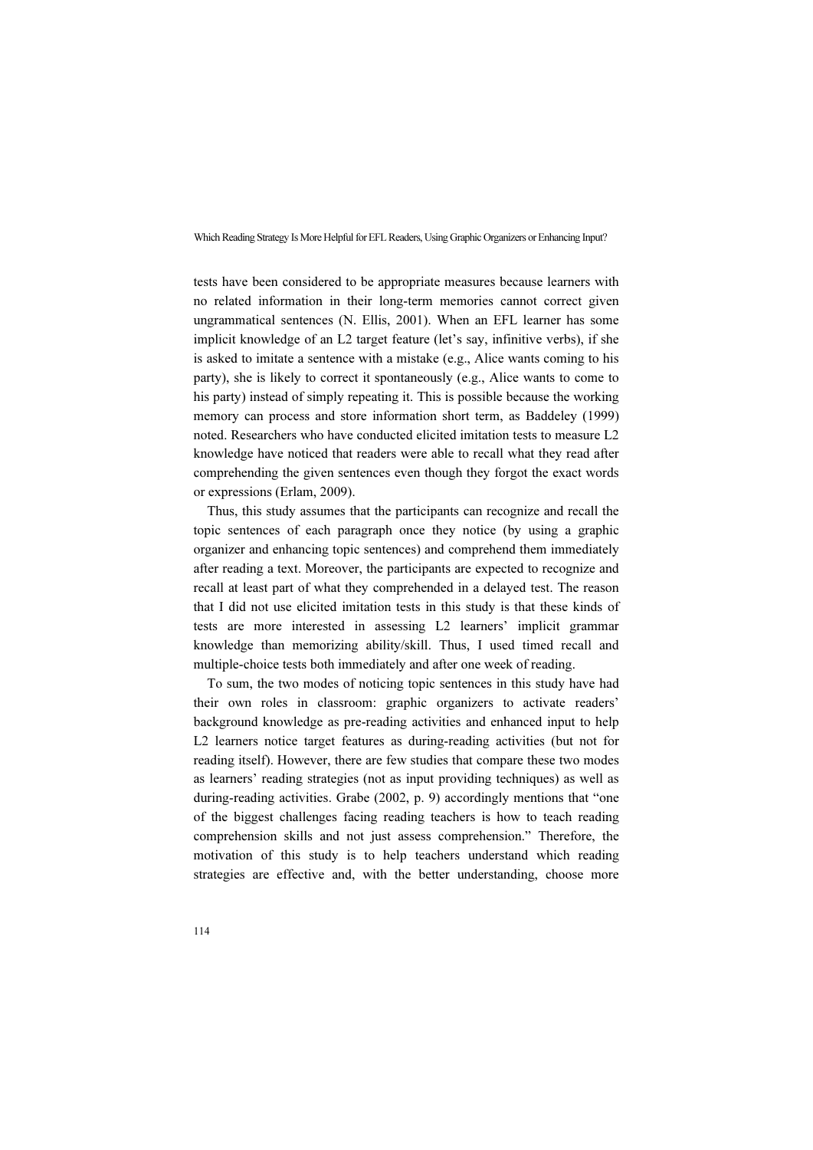tests have been considered to be appropriate measures because learners with no related information in their long-term memories cannot correct given ungrammatical sentences (N. Ellis, 2001). When an EFL learner has some implicit knowledge of an L2 target feature (let's say, infinitive verbs), if she is asked to imitate a sentence with a mistake (e.g., Alice wants coming to his party), she is likely to correct it spontaneously (e.g., Alice wants to come to his party) instead of simply repeating it. This is possible because the working memory can process and store information short term, as Baddeley (1999) noted. Researchers who have conducted elicited imitation tests to measure L2 knowledge have noticed that readers were able to recall what they read after comprehending the given sentences even though they forgot the exact words or expressions (Erlam, 2009).

Thus, this study assumes that the participants can recognize and recall the topic sentences of each paragraph once they notice (by using a graphic organizer and enhancing topic sentences) and comprehend them immediately after reading a text. Moreover, the participants are expected to recognize and recall at least part of what they comprehended in a delayed test. The reason that I did not use elicited imitation tests in this study is that these kinds of tests are more interested in assessing L2 learners' implicit grammar knowledge than memorizing ability/skill. Thus, I used timed recall and multiple-choice tests both immediately and after one week of reading.

To sum, the two modes of noticing topic sentences in this study have had their own roles in classroom: graphic organizers to activate readers' background knowledge as pre-reading activities and enhanced input to help L2 learners notice target features as during-reading activities (but not for reading itself). However, there are few studies that compare these two modes as learners' reading strategies (not as input providing techniques) as well as during-reading activities. Grabe (2002, p. 9) accordingly mentions that "one of the biggest challenges facing reading teachers is how to teach reading comprehension skills and not just assess comprehension." Therefore, the motivation of this study is to help teachers understand which reading strategies are effective and, with the better understanding, choose more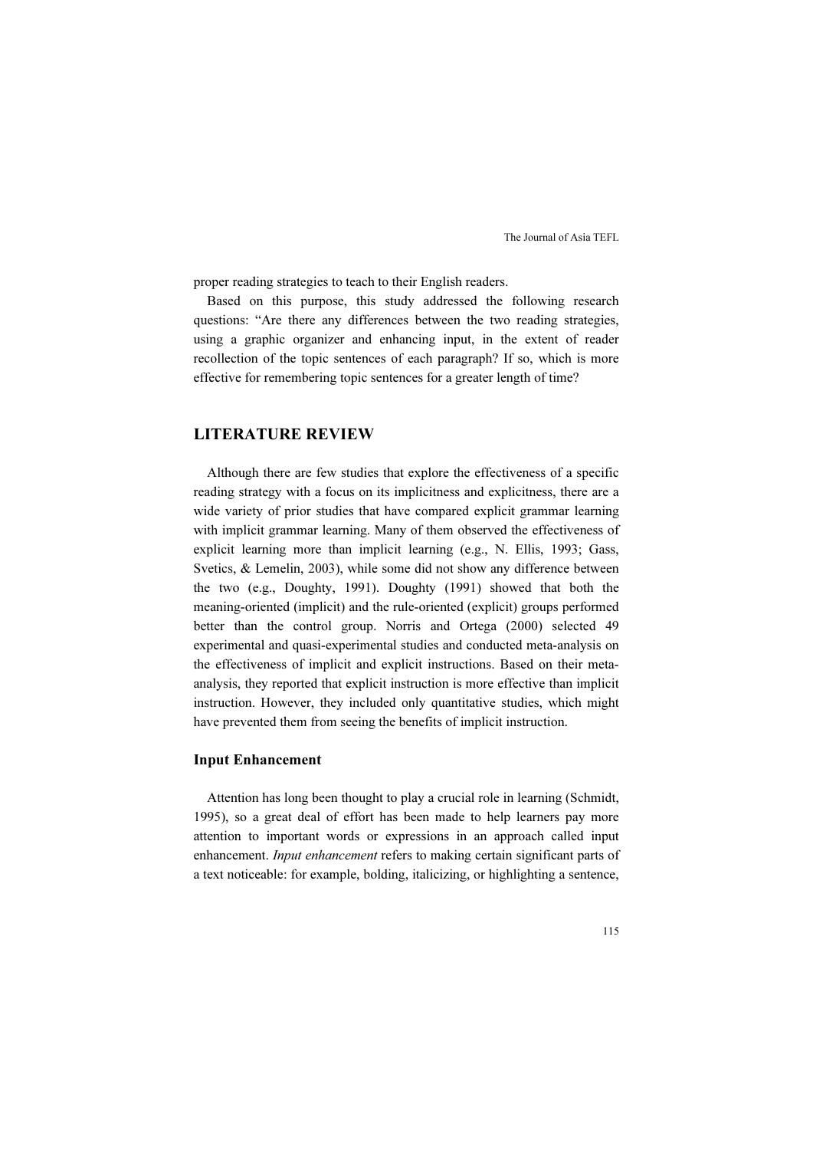proper reading strategies to teach to their English readers.

Based on this purpose, this study addressed the following research questions: "Are there any differences between the two reading strategies, using a graphic organizer and enhancing input, in the extent of reader recollection of the topic sentences of each paragraph? If so, which is more effective for remembering topic sentences for a greater length of time?

# LITERATURE REVIEW

Although there are few studies that explore the effectiveness of a specific reading strategy with a focus on its implicitness and explicitness, there are a wide variety of prior studies that have compared explicit grammar learning with implicit grammar learning. Many of them observed the effectiveness of explicit learning more than implicit learning (e.g., N. Ellis, 1993; Gass, Svetics, & Lemelin, 2003), while some did not show any difference between the two (e.g., Doughty, 1991). Doughty (1991) showed that both the meaning-oriented (implicit) and the rule-oriented (explicit) groups performed better than the control group. Norris and Ortega (2000) selected 49 experimental and quasi-experimental studies and conducted meta-analysis on the effectiveness of implicit and explicit instructions. Based on their metaanalysis, they reported that explicit instruction is more effective than implicit instruction. However, they included only quantitative studies, which might have prevented them from seeing the benefits of implicit instruction.

### Input Enhancement

Attention has long been thought to play a crucial role in learning (Schmidt, 1995), so a great deal of effort has been made to help learners pay more attention to important words or expressions in an approach called input enhancement. *Input enhancement* refers to making certain significant parts of a text noticeable: for example, bolding, italicizing, or highlighting a sentence,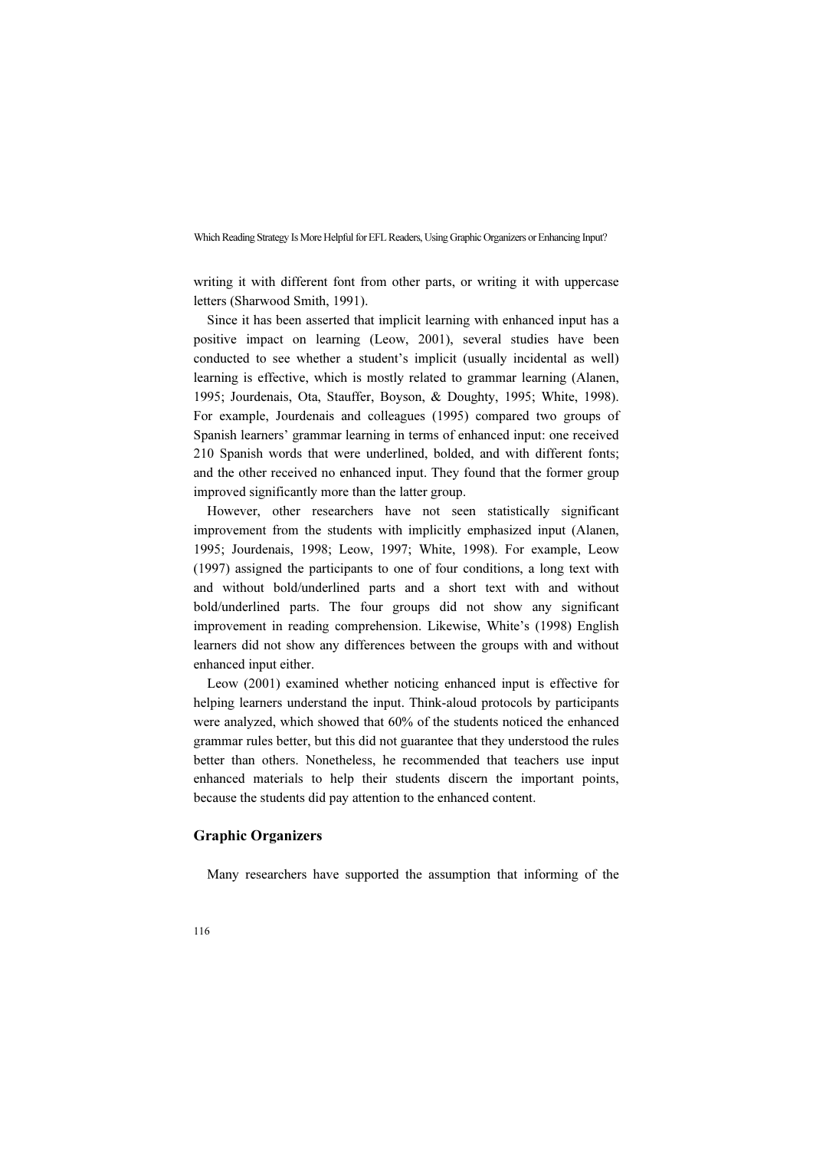writing it with different font from other parts, or writing it with uppercase letters (Sharwood Smith, 1991).

Since it has been asserted that implicit learning with enhanced input has a positive impact on learning (Leow, 2001), several studies have been conducted to see whether a student's implicit (usually incidental as well) learning is effective, which is mostly related to grammar learning (Alanen, 1995; Jourdenais, Ota, Stauffer, Boyson, & Doughty, 1995; White, 1998). For example, Jourdenais and colleagues (1995) compared two groups of Spanish learners' grammar learning in terms of enhanced input: one received 210 Spanish words that were underlined, bolded, and with different fonts; and the other received no enhanced input. They found that the former group improved significantly more than the latter group.

However, other researchers have not seen statistically significant improvement from the students with implicitly emphasized input (Alanen, 1995; Jourdenais, 1998; Leow, 1997; White, 1998). For example, Leow (1997) assigned the participants to one of four conditions, a long text with and without bold/underlined parts and a short text with and without bold/underlined parts. The four groups did not show any significant improvement in reading comprehension. Likewise, White's (1998) English learners did not show any differences between the groups with and without enhanced input either.

Leow (2001) examined whether noticing enhanced input is effective for helping learners understand the input. Think-aloud protocols by participants were analyzed, which showed that 60% of the students noticed the enhanced grammar rules better, but this did not guarantee that they understood the rules better than others. Nonetheless, he recommended that teachers use input enhanced materials to help their students discern the important points, because the students did pay attention to the enhanced content.

## Graphic Organizers

Many researchers have supported the assumption that informing of the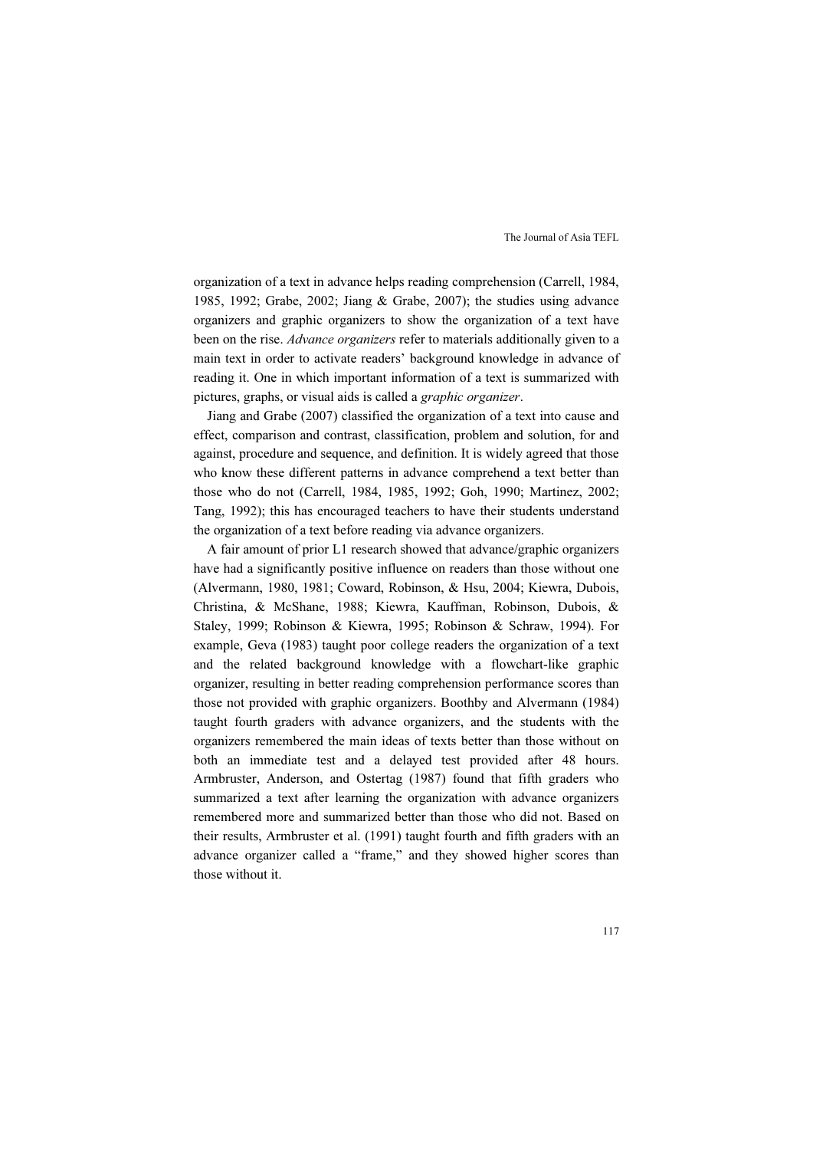organization of a text in advance helps reading comprehension (Carrell, 1984, 1985, 1992; Grabe, 2002; Jiang & Grabe, 2007); the studies using advance organizers and graphic organizers to show the organization of a text have been on the rise. Advance organizers refer to materials additionally given to a main text in order to activate readers' background knowledge in advance of reading it. One in which important information of a text is summarized with pictures, graphs, or visual aids is called a graphic organizer.

Jiang and Grabe (2007) classified the organization of a text into cause and effect, comparison and contrast, classification, problem and solution, for and against, procedure and sequence, and definition. It is widely agreed that those who know these different patterns in advance comprehend a text better than those who do not (Carrell, 1984, 1985, 1992; Goh, 1990; Martinez, 2002; Tang, 1992); this has encouraged teachers to have their students understand the organization of a text before reading via advance organizers.

A fair amount of prior L1 research showed that advance/graphic organizers have had a significantly positive influence on readers than those without one (Alvermann, 1980, 1981; Coward, Robinson, & Hsu, 2004; Kiewra, Dubois, Christina, & McShane, 1988; Kiewra, Kauffman, Robinson, Dubois, & Staley, 1999; Robinson & Kiewra, 1995; Robinson & Schraw, 1994). For example, Geva (1983) taught poor college readers the organization of a text and the related background knowledge with a flowchart-like graphic organizer, resulting in better reading comprehension performance scores than those not provided with graphic organizers. Boothby and Alvermann (1984) taught fourth graders with advance organizers, and the students with the organizers remembered the main ideas of texts better than those without on both an immediate test and a delayed test provided after 48 hours. Armbruster, Anderson, and Ostertag (1987) found that fifth graders who summarized a text after learning the organization with advance organizers remembered more and summarized better than those who did not. Based on their results, Armbruster et al. (1991) taught fourth and fifth graders with an advance organizer called a "frame," and they showed higher scores than those without it.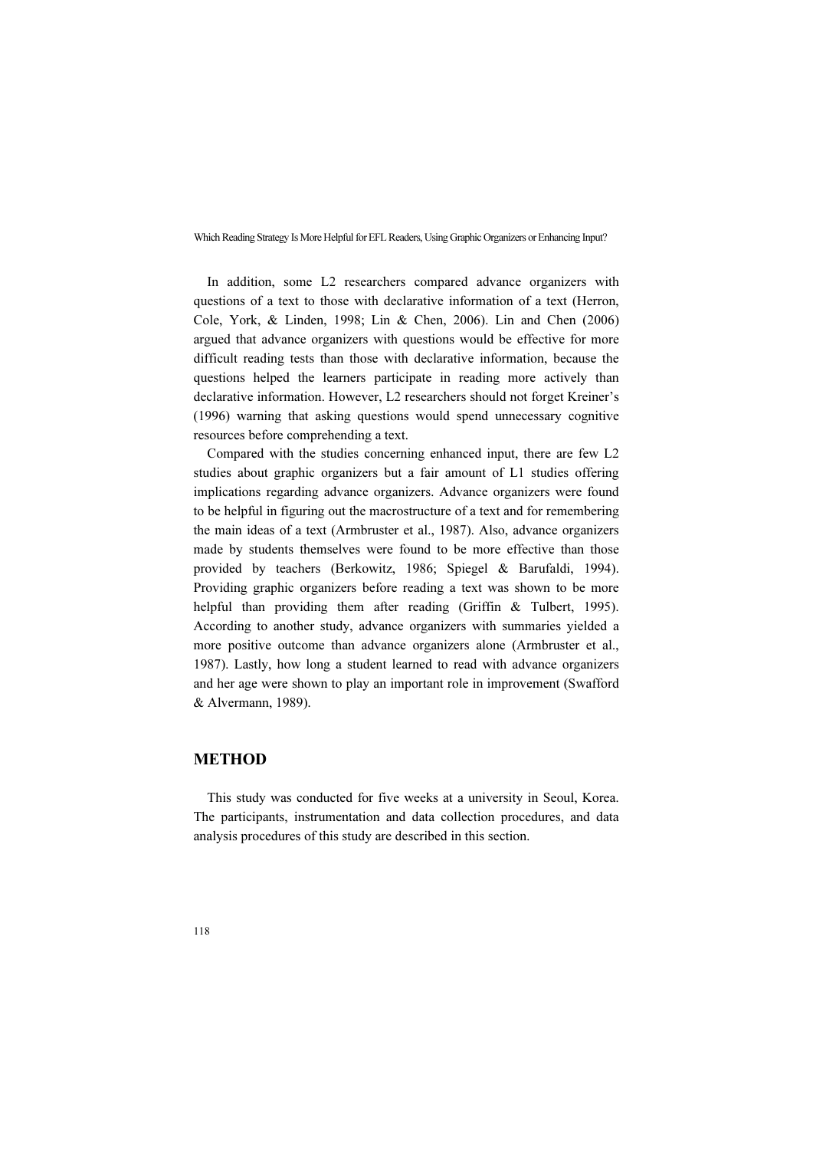In addition, some L2 researchers compared advance organizers with questions of a text to those with declarative information of a text (Herron, Cole, York, & Linden, 1998; Lin & Chen, 2006). Lin and Chen (2006) argued that advance organizers with questions would be effective for more difficult reading tests than those with declarative information, because the questions helped the learners participate in reading more actively than declarative information. However, L2 researchers should not forget Kreiner's (1996) warning that asking questions would spend unnecessary cognitive resources before comprehending a text.

Compared with the studies concerning enhanced input, there are few L2 studies about graphic organizers but a fair amount of L1 studies offering implications regarding advance organizers. Advance organizers were found to be helpful in figuring out the macrostructure of a text and for remembering the main ideas of a text (Armbruster et al., 1987). Also, advance organizers made by students themselves were found to be more effective than those provided by teachers (Berkowitz, 1986; Spiegel & Barufaldi, 1994). Providing graphic organizers before reading a text was shown to be more helpful than providing them after reading (Griffin & Tulbert, 1995). According to another study, advance organizers with summaries yielded a more positive outcome than advance organizers alone (Armbruster et al., 1987). Lastly, how long a student learned to read with advance organizers and her age were shown to play an important role in improvement (Swafford & Alvermann, 1989).

# **METHOD**

This study was conducted for five weeks at a university in Seoul, Korea. The participants, instrumentation and data collection procedures, and data analysis procedures of this study are described in this section.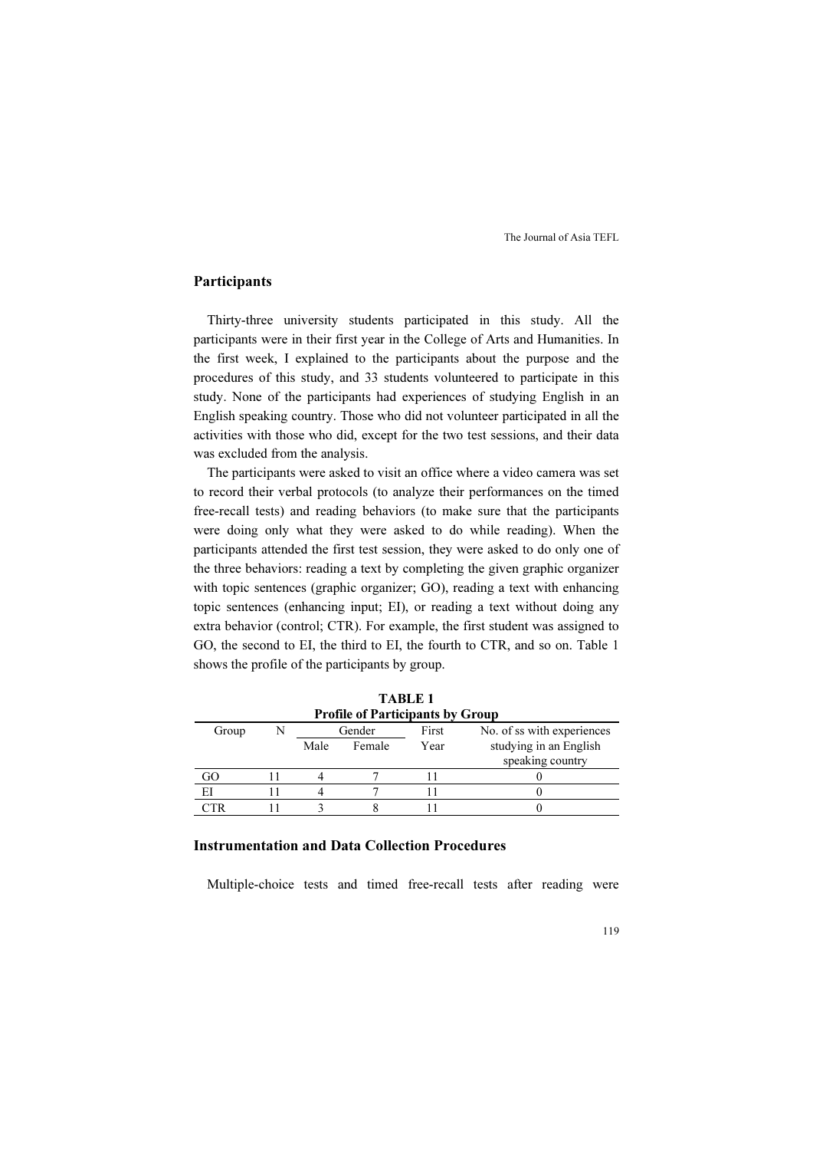# Participants

Thirty-three university students participated in this study. All the participants were in their first year in the College of Arts and Humanities. In the first week, I explained to the participants about the purpose and the procedures of this study, and 33 students volunteered to participate in this study. None of the participants had experiences of studying English in an English speaking country. Those who did not volunteer participated in all the activities with those who did, except for the two test sessions, and their data was excluded from the analysis.

The participants were asked to visit an office where a video camera was set to record their verbal protocols (to analyze their performances on the timed free-recall tests) and reading behaviors (to make sure that the participants were doing only what they were asked to do while reading). When the participants attended the first test session, they were asked to do only one of the three behaviors: reading a text by completing the given graphic organizer with topic sentences (graphic organizer; GO), reading a text with enhancing topic sentences (enhancing input; EI), or reading a text without doing any extra behavior (control; CTR). For example, the first student was assigned to GO, the second to EI, the third to EI, the fourth to CTR, and so on. Table 1 shows the profile of the participants by group.

| <b>Profile of Participants by Group</b> |  |        |        |       |                            |
|-----------------------------------------|--|--------|--------|-------|----------------------------|
| Group                                   |  | Gender |        | First | No. of ss with experiences |
|                                         |  | Male   | Female | Year  | studying in an English     |
|                                         |  |        |        |       | speaking country           |
|                                         |  |        |        |       |                            |
| EI                                      |  |        |        |       |                            |
| ™FR                                     |  |        |        |       |                            |

TABLE 1

# Instrumentation and Data Collection Procedures

Multiple-choice tests and timed free-recall tests after reading were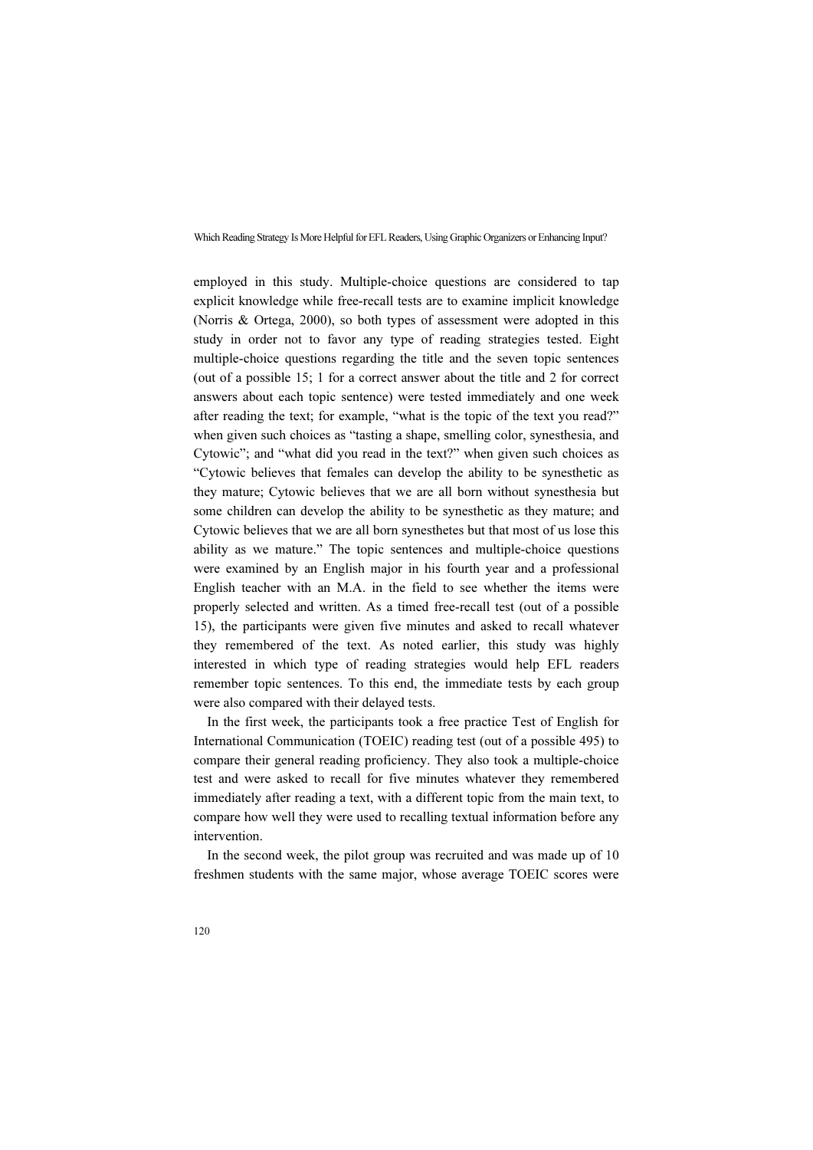employed in this study. Multiple-choice questions are considered to tap explicit knowledge while free-recall tests are to examine implicit knowledge (Norris & Ortega, 2000), so both types of assessment were adopted in this study in order not to favor any type of reading strategies tested. Eight multiple-choice questions regarding the title and the seven topic sentences (out of a possible 15; 1 for a correct answer about the title and 2 for correct answers about each topic sentence) were tested immediately and one week after reading the text; for example, "what is the topic of the text you read?" when given such choices as "tasting a shape, smelling color, synesthesia, and Cytowic"; and "what did you read in the text?" when given such choices as "Cytowic believes that females can develop the ability to be synesthetic as they mature; Cytowic believes that we are all born without synesthesia but some children can develop the ability to be synesthetic as they mature; and Cytowic believes that we are all born synesthetes but that most of us lose this ability as we mature." The topic sentences and multiple-choice questions were examined by an English major in his fourth year and a professional English teacher with an M.A. in the field to see whether the items were properly selected and written. As a timed free-recall test (out of a possible 15), the participants were given five minutes and asked to recall whatever they remembered of the text. As noted earlier, this study was highly interested in which type of reading strategies would help EFL readers remember topic sentences. To this end, the immediate tests by each group were also compared with their delayed tests.

In the first week, the participants took a free practice Test of English for International Communication (TOEIC) reading test (out of a possible 495) to compare their general reading proficiency. They also took a multiple-choice test and were asked to recall for five minutes whatever they remembered immediately after reading a text, with a different topic from the main text, to compare how well they were used to recalling textual information before any intervention.

In the second week, the pilot group was recruited and was made up of 10 freshmen students with the same major, whose average TOEIC scores were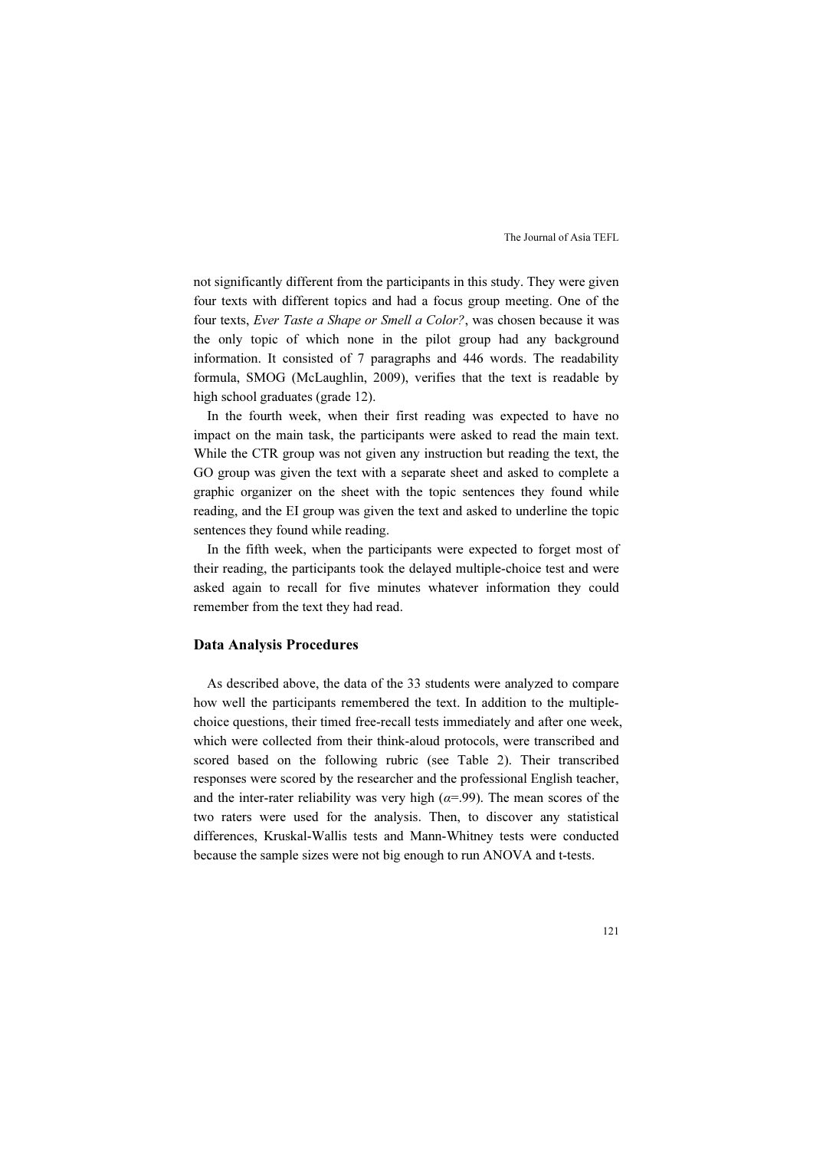not significantly different from the participants in this study. They were given four texts with different topics and had a focus group meeting. One of the four texts, Ever Taste a Shape or Smell a Color?, was chosen because it was the only topic of which none in the pilot group had any background information. It consisted of 7 paragraphs and 446 words. The readability formula, SMOG (McLaughlin, 2009), verifies that the text is readable by high school graduates (grade 12).

In the fourth week, when their first reading was expected to have no impact on the main task, the participants were asked to read the main text. While the CTR group was not given any instruction but reading the text, the GO group was given the text with a separate sheet and asked to complete a graphic organizer on the sheet with the topic sentences they found while reading, and the EI group was given the text and asked to underline the topic sentences they found while reading.

In the fifth week, when the participants were expected to forget most of their reading, the participants took the delayed multiple-choice test and were asked again to recall for five minutes whatever information they could remember from the text they had read.

#### Data Analysis Procedures

As described above, the data of the 33 students were analyzed to compare how well the participants remembered the text. In addition to the multiplechoice questions, their timed free-recall tests immediately and after one week, which were collected from their think-aloud protocols, were transcribed and scored based on the following rubric (see Table 2). Their transcribed responses were scored by the researcher and the professional English teacher, and the inter-rater reliability was very high ( $\alpha$ =.99). The mean scores of the two raters were used for the analysis. Then, to discover any statistical differences, Kruskal-Wallis tests and Mann-Whitney tests were conducted because the sample sizes were not big enough to run ANOVA and t-tests.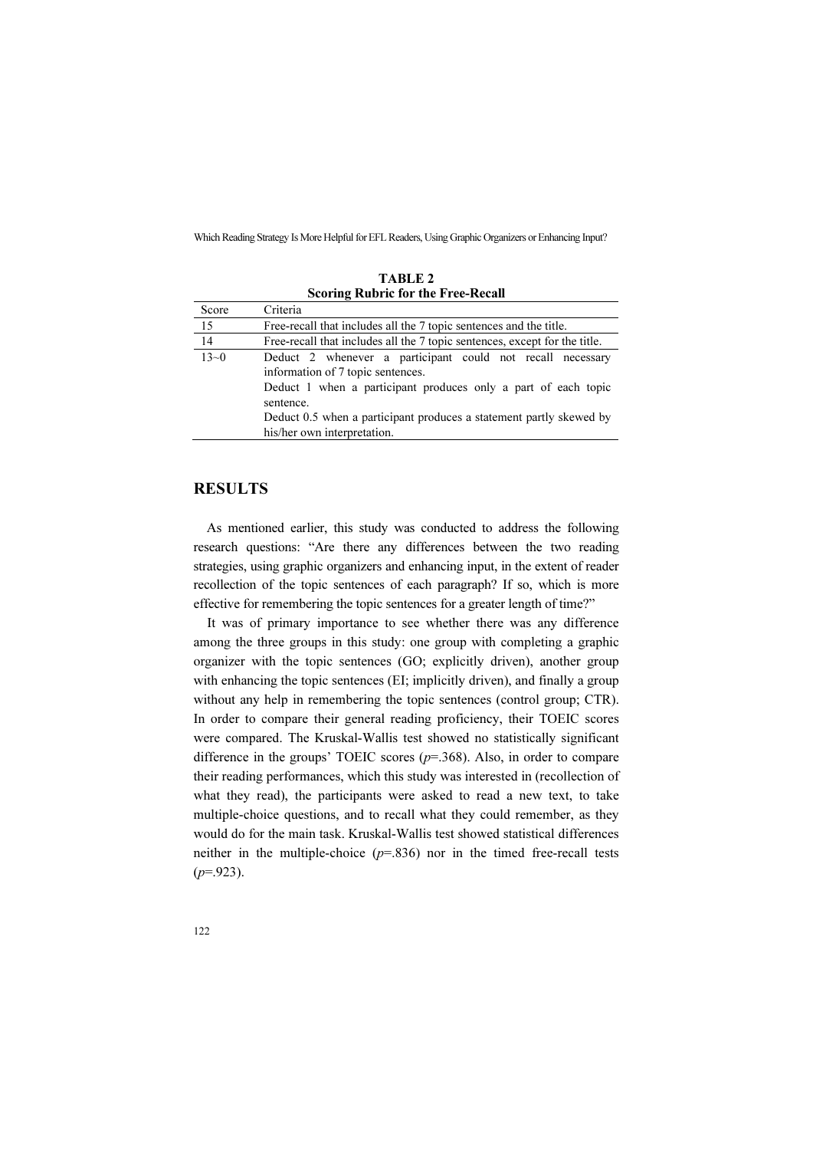| Scoring Rubric for the Free-Recall |                                                                                                                                                                                                                                                                                      |  |  |  |
|------------------------------------|--------------------------------------------------------------------------------------------------------------------------------------------------------------------------------------------------------------------------------------------------------------------------------------|--|--|--|
| Score                              | Criteria                                                                                                                                                                                                                                                                             |  |  |  |
| 15                                 | Free-recall that includes all the 7 topic sentences and the title.                                                                                                                                                                                                                   |  |  |  |
| 14                                 | Free-recall that includes all the 7 topic sentences, except for the title.                                                                                                                                                                                                           |  |  |  |
| $13 - 0$                           | Deduct 2 whenever a participant could not recall necessary<br>information of 7 topic sentences.<br>Deduct 1 when a participant produces only a part of each topic<br>sentence.<br>Deduct 0.5 when a participant produces a statement partly skewed by<br>his/her own interpretation. |  |  |  |

TABLE 2 Scoring Rubric for the Free-Recall

# **RESULTS**

As mentioned earlier, this study was conducted to address the following research questions: "Are there any differences between the two reading strategies, using graphic organizers and enhancing input, in the extent of reader recollection of the topic sentences of each paragraph? If so, which is more effective for remembering the topic sentences for a greater length of time?"

It was of primary importance to see whether there was any difference among the three groups in this study: one group with completing a graphic organizer with the topic sentences (GO; explicitly driven), another group with enhancing the topic sentences (EI; implicitly driven), and finally a group without any help in remembering the topic sentences (control group; CTR). In order to compare their general reading proficiency, their TOEIC scores were compared. The Kruskal-Wallis test showed no statistically significant difference in the groups' TOEIC scores  $(p=368)$ . Also, in order to compare their reading performances, which this study was interested in (recollection of what they read), the participants were asked to read a new text, to take multiple-choice questions, and to recall what they could remember, as they would do for the main task. Kruskal-Wallis test showed statistical differences neither in the multiple-choice  $(p=.836)$  nor in the timed free-recall tests  $(p=923)$ .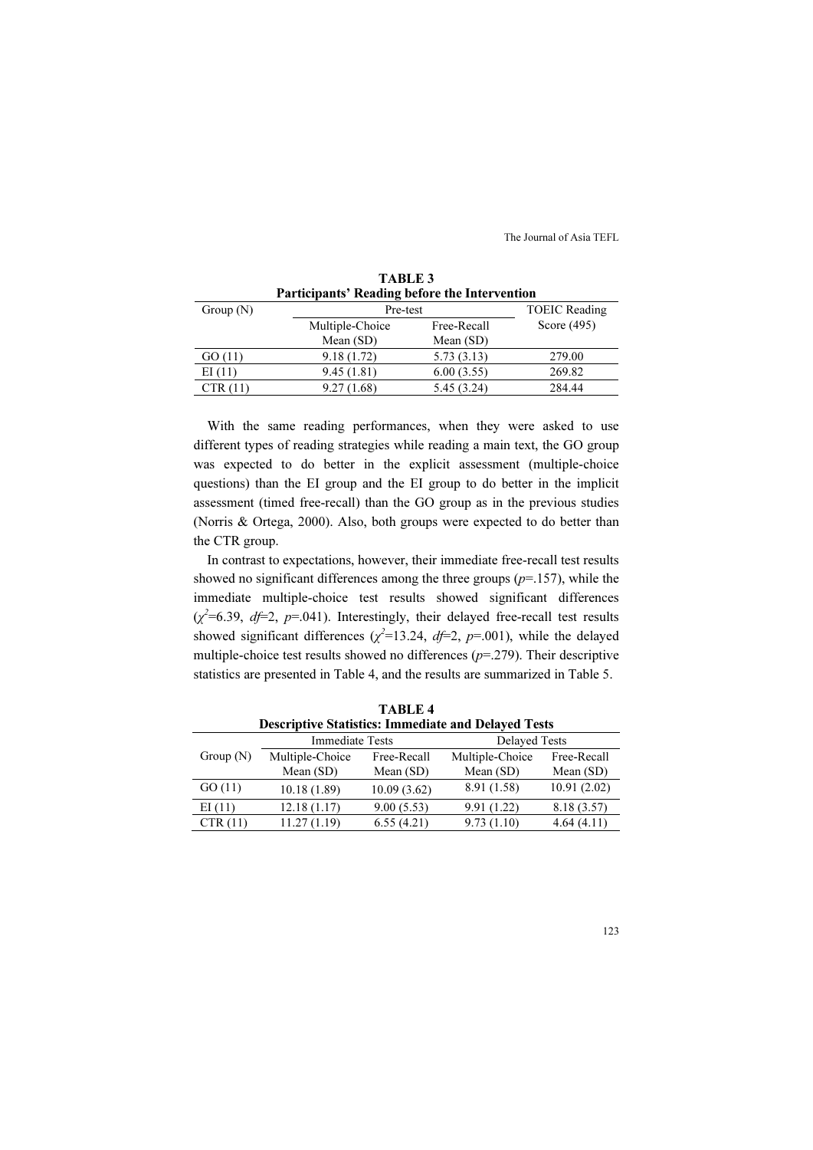| Participants' Reading before the Intervention |                 |                      |               |
|-----------------------------------------------|-----------------|----------------------|---------------|
| Group $(N)$                                   | Pre-test        | <b>TOEIC</b> Reading |               |
|                                               | Multiple-Choice | Free-Recall          | Score $(495)$ |
|                                               | Mean $(SD)$     | Mean $(SD)$          |               |
| GO(11)                                        | 9.18(1.72)      | 5.73(3.13)           | 279.00        |
| EI(11)                                        | 9.45(1.81)      | 6.00(3.55)           | 269.82        |
| CTR(11)                                       | 9.27(1.68)      | 5.45 (3.24)          | 284.44        |

TABLE 3

With the same reading performances, when they were asked to use different types of reading strategies while reading a main text, the GO group was expected to do better in the explicit assessment (multiple-choice questions) than the EI group and the EI group to do better in the implicit assessment (timed free-recall) than the GO group as in the previous studies (Norris & Ortega, 2000). Also, both groups were expected to do better than the CTR group.

In contrast to expectations, however, their immediate free-recall test results showed no significant differences among the three groups  $(p=157)$ , while the immediate multiple-choice test results showed significant differences  $(\chi^2=6.39, df=2, p=.041)$ . Interestingly, their delayed free-recall test results showed significant differences ( $\chi^2$ =13.24, df=2, p=.001), while the delayed multiple-choice test results showed no differences  $(p=279)$ . Their descriptive statistics are presented in Table 4, and the results are summarized in Table 5.

| TABLE 4                                                    |                        |             |                      |             |  |
|------------------------------------------------------------|------------------------|-------------|----------------------|-------------|--|
| <b>Descriptive Statistics: Immediate and Delayed Tests</b> |                        |             |                      |             |  |
|                                                            | <b>Immediate Tests</b> |             | <b>Delayed Tests</b> |             |  |
| Group $(N)$                                                | Multiple-Choice        | Free-Recall | Multiple-Choice      | Free-Recall |  |
|                                                            | Mean $(SD)$            | Mean $(SD)$ | Mean $(SD)$          | Mean (SD)   |  |
| GO(11)                                                     | 10.18(1.89)            | 10.09(3.62) | 8.91 (1.58)          | 10.91(2.02) |  |
| EI(11)                                                     | 12.18(1.17)            | 9.00(5.53)  | 9.91(1.22)           | 8.18 (3.57) |  |
| CTR(11)                                                    | 11.27(1.19)            | 6.55(4.21)  | 9.73(1.10)           | 4.64(4.11)  |  |

 $\Box$   $\Box$   $\Box$   $\Box$   $\Box$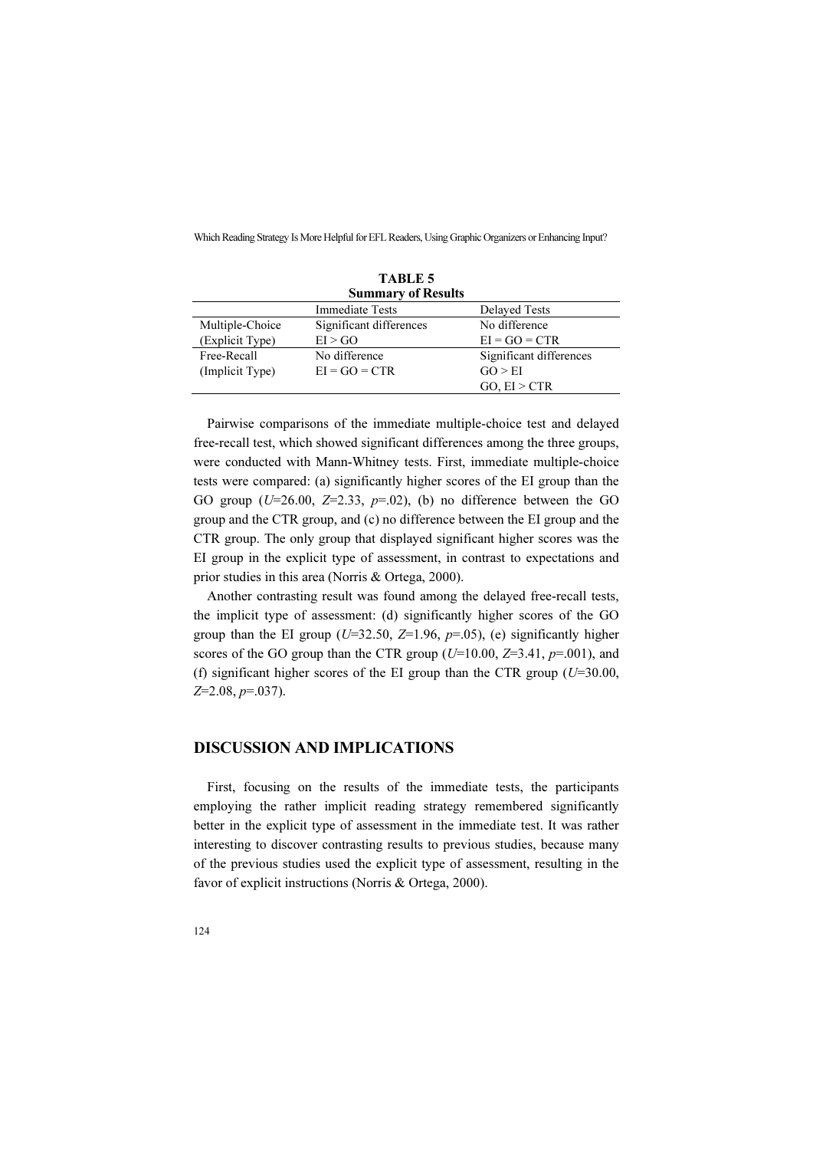| <b>TABLE 5</b>            |                         |                         |  |  |
|---------------------------|-------------------------|-------------------------|--|--|
| <b>Summary of Results</b> |                         |                         |  |  |
|                           | <b>Immediate Tests</b>  | <b>Delayed Tests</b>    |  |  |
| Multiple-Choice           | Significant differences | No difference           |  |  |
| (Explicit Type)           | EI > GO                 | $EI = GO = CTR$         |  |  |
| Free-Recall               | No difference           | Significant differences |  |  |
| (Implicit Type)           | $EI = GO = CTR$         | GO > EI                 |  |  |
|                           |                         | GO, EI > CTR            |  |  |

Pairwise comparisons of the immediate multiple-choice test and delayed free-recall test, which showed significant differences among the three groups, were conducted with Mann-Whitney tests. First, immediate multiple-choice tests were compared: (a) significantly higher scores of the EI group than the GO group ( $U=26.00$ ,  $Z=2.33$ ,  $p=.02$ ), (b) no difference between the GO group and the CTR group, and (c) no difference between the EI group and the CTR group. The only group that displayed significant higher scores was the EI group in the explicit type of assessment, in contrast to expectations and prior studies in this area (Norris & Ortega, 2000).

Another contrasting result was found among the delayed free-recall tests, the implicit type of assessment: (d) significantly higher scores of the GO group than the EI group ( $U=32.50$ ,  $Z=1.96$ ,  $p=.05$ ), (e) significantly higher scores of the GO group than the CTR group ( $U=10.00$ ,  $Z=3.41$ ,  $p=.001$ ), and (f) significant higher scores of the EI group than the CTR group  $(U=30.00,$  $Z=2.08, p=.037$ ).

# DISCUSSION AND IMPLICATIONS

First, focusing on the results of the immediate tests, the participants employing the rather implicit reading strategy remembered significantly better in the explicit type of assessment in the immediate test. It was rather interesting to discover contrasting results to previous studies, because many of the previous studies used the explicit type of assessment, resulting in the favor of explicit instructions (Norris & Ortega, 2000).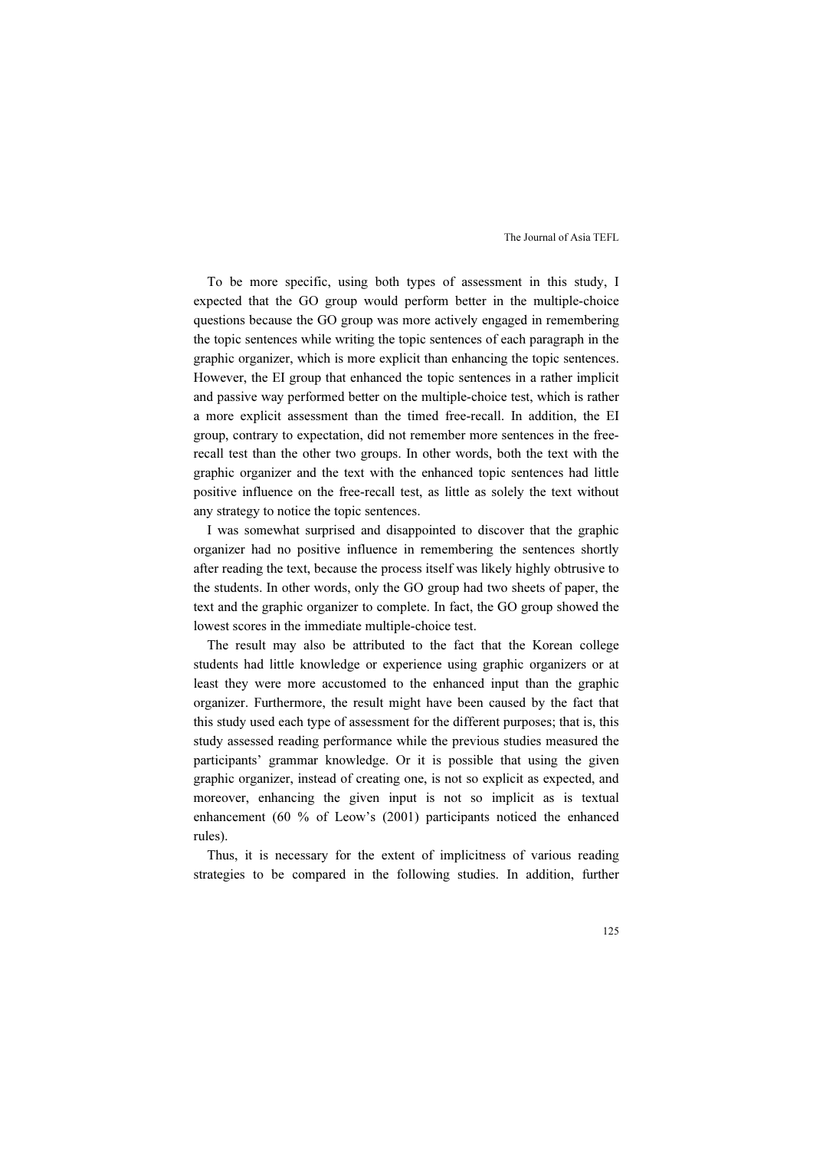To be more specific, using both types of assessment in this study, I expected that the GO group would perform better in the multiple-choice questions because the GO group was more actively engaged in remembering the topic sentences while writing the topic sentences of each paragraph in the graphic organizer, which is more explicit than enhancing the topic sentences. However, the EI group that enhanced the topic sentences in a rather implicit and passive way performed better on the multiple-choice test, which is rather a more explicit assessment than the timed free-recall. In addition, the EI group, contrary to expectation, did not remember more sentences in the freerecall test than the other two groups. In other words, both the text with the graphic organizer and the text with the enhanced topic sentences had little positive influence on the free-recall test, as little as solely the text without any strategy to notice the topic sentences.

I was somewhat surprised and disappointed to discover that the graphic organizer had no positive influence in remembering the sentences shortly after reading the text, because the process itself was likely highly obtrusive to the students. In other words, only the GO group had two sheets of paper, the text and the graphic organizer to complete. In fact, the GO group showed the lowest scores in the immediate multiple-choice test.

The result may also be attributed to the fact that the Korean college students had little knowledge or experience using graphic organizers or at least they were more accustomed to the enhanced input than the graphic organizer. Furthermore, the result might have been caused by the fact that this study used each type of assessment for the different purposes; that is, this study assessed reading performance while the previous studies measured the participants' grammar knowledge. Or it is possible that using the given graphic organizer, instead of creating one, is not so explicit as expected, and moreover, enhancing the given input is not so implicit as is textual enhancement (60 % of Leow's (2001) participants noticed the enhanced rules).

Thus, it is necessary for the extent of implicitness of various reading strategies to be compared in the following studies. In addition, further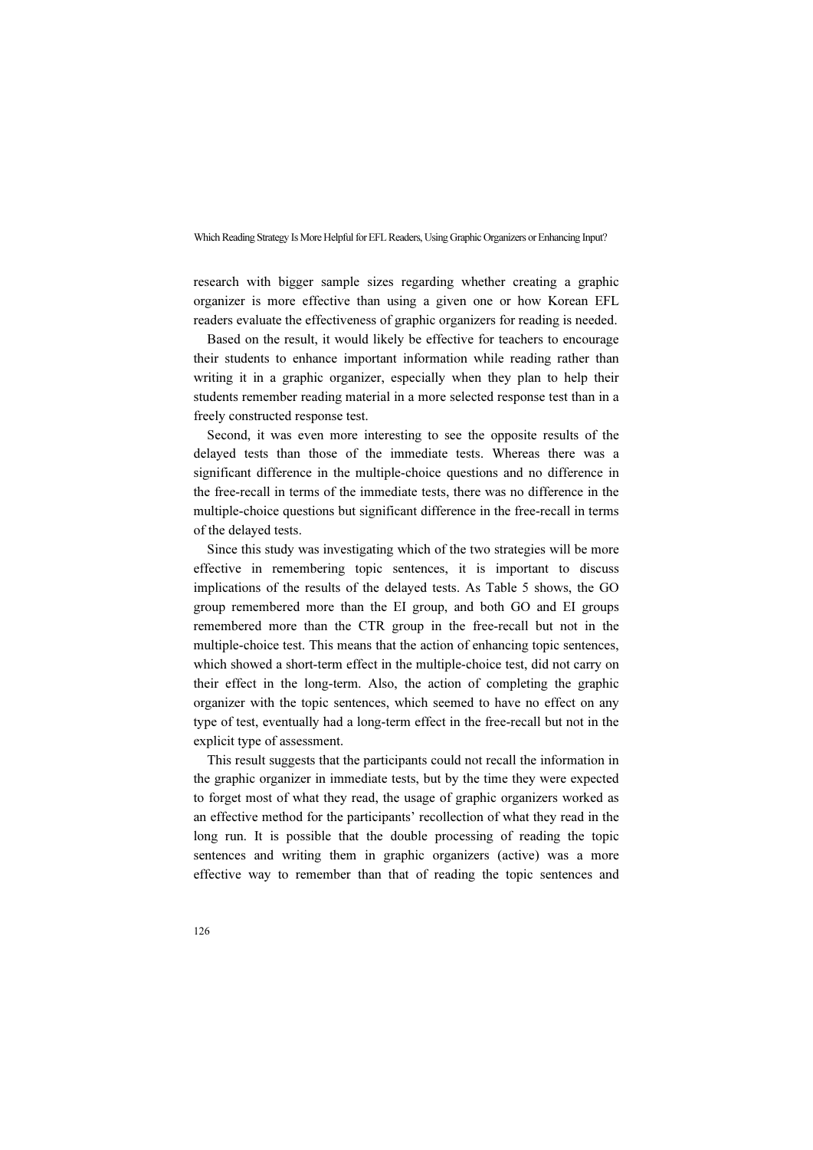research with bigger sample sizes regarding whether creating a graphic organizer is more effective than using a given one or how Korean EFL readers evaluate the effectiveness of graphic organizers for reading is needed.

Based on the result, it would likely be effective for teachers to encourage their students to enhance important information while reading rather than writing it in a graphic organizer, especially when they plan to help their students remember reading material in a more selected response test than in a freely constructed response test.

Second, it was even more interesting to see the opposite results of the delayed tests than those of the immediate tests. Whereas there was a significant difference in the multiple-choice questions and no difference in the free-recall in terms of the immediate tests, there was no difference in the multiple-choice questions but significant difference in the free-recall in terms of the delayed tests.

Since this study was investigating which of the two strategies will be more effective in remembering topic sentences, it is important to discuss implications of the results of the delayed tests. As Table 5 shows, the GO group remembered more than the EI group, and both GO and EI groups remembered more than the CTR group in the free-recall but not in the multiple-choice test. This means that the action of enhancing topic sentences, which showed a short-term effect in the multiple-choice test, did not carry on their effect in the long-term. Also, the action of completing the graphic organizer with the topic sentences, which seemed to have no effect on any type of test, eventually had a long-term effect in the free-recall but not in the explicit type of assessment.

This result suggests that the participants could not recall the information in the graphic organizer in immediate tests, but by the time they were expected to forget most of what they read, the usage of graphic organizers worked as an effective method for the participants' recollection of what they read in the long run. It is possible that the double processing of reading the topic sentences and writing them in graphic organizers (active) was a more effective way to remember than that of reading the topic sentences and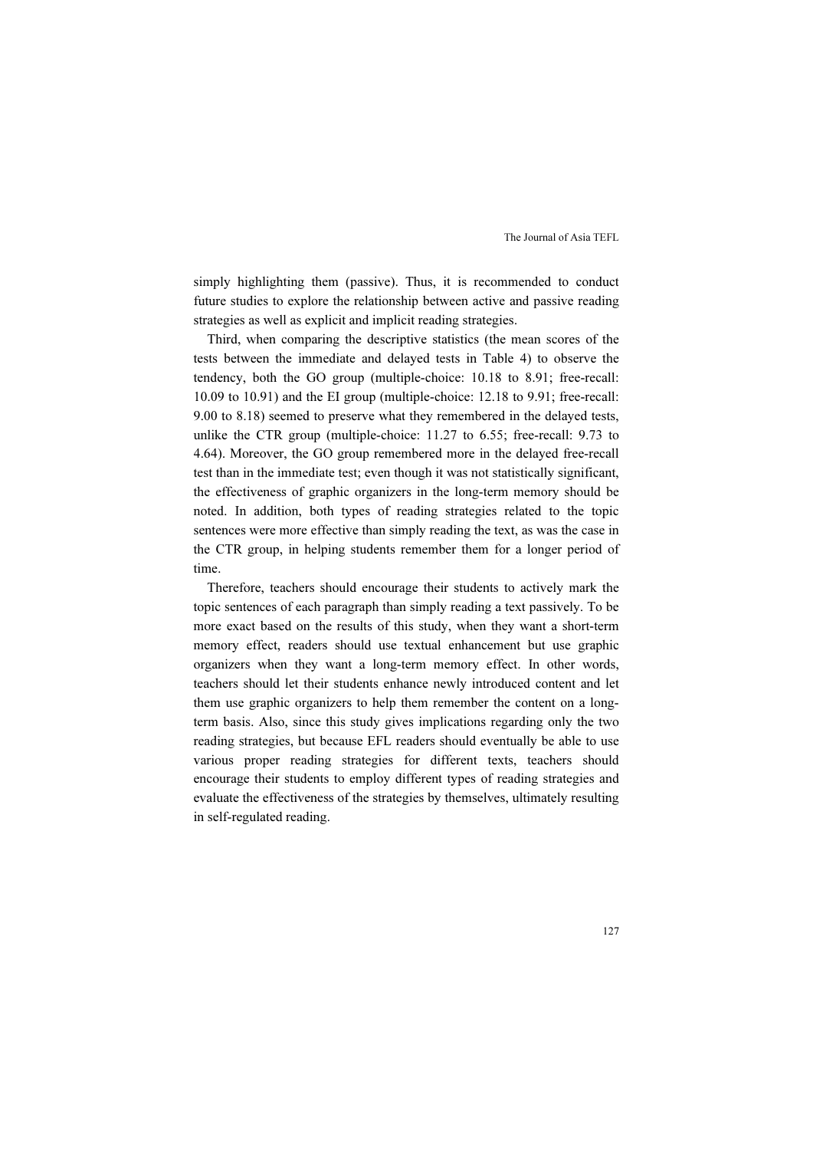simply highlighting them (passive). Thus, it is recommended to conduct future studies to explore the relationship between active and passive reading strategies as well as explicit and implicit reading strategies.

Third, when comparing the descriptive statistics (the mean scores of the tests between the immediate and delayed tests in Table 4) to observe the tendency, both the GO group (multiple-choice: 10.18 to 8.91; free-recall: 10.09 to 10.91) and the EI group (multiple-choice: 12.18 to 9.91; free-recall: 9.00 to 8.18) seemed to preserve what they remembered in the delayed tests, unlike the CTR group (multiple-choice: 11.27 to 6.55; free-recall: 9.73 to 4.64). Moreover, the GO group remembered more in the delayed free-recall test than in the immediate test; even though it was not statistically significant, the effectiveness of graphic organizers in the long-term memory should be noted. In addition, both types of reading strategies related to the topic sentences were more effective than simply reading the text, as was the case in the CTR group, in helping students remember them for a longer period of time.

Therefore, teachers should encourage their students to actively mark the topic sentences of each paragraph than simply reading a text passively. To be more exact based on the results of this study, when they want a short-term memory effect, readers should use textual enhancement but use graphic organizers when they want a long-term memory effect. In other words, teachers should let their students enhance newly introduced content and let them use graphic organizers to help them remember the content on a longterm basis. Also, since this study gives implications regarding only the two reading strategies, but because EFL readers should eventually be able to use various proper reading strategies for different texts, teachers should encourage their students to employ different types of reading strategies and evaluate the effectiveness of the strategies by themselves, ultimately resulting in self-regulated reading.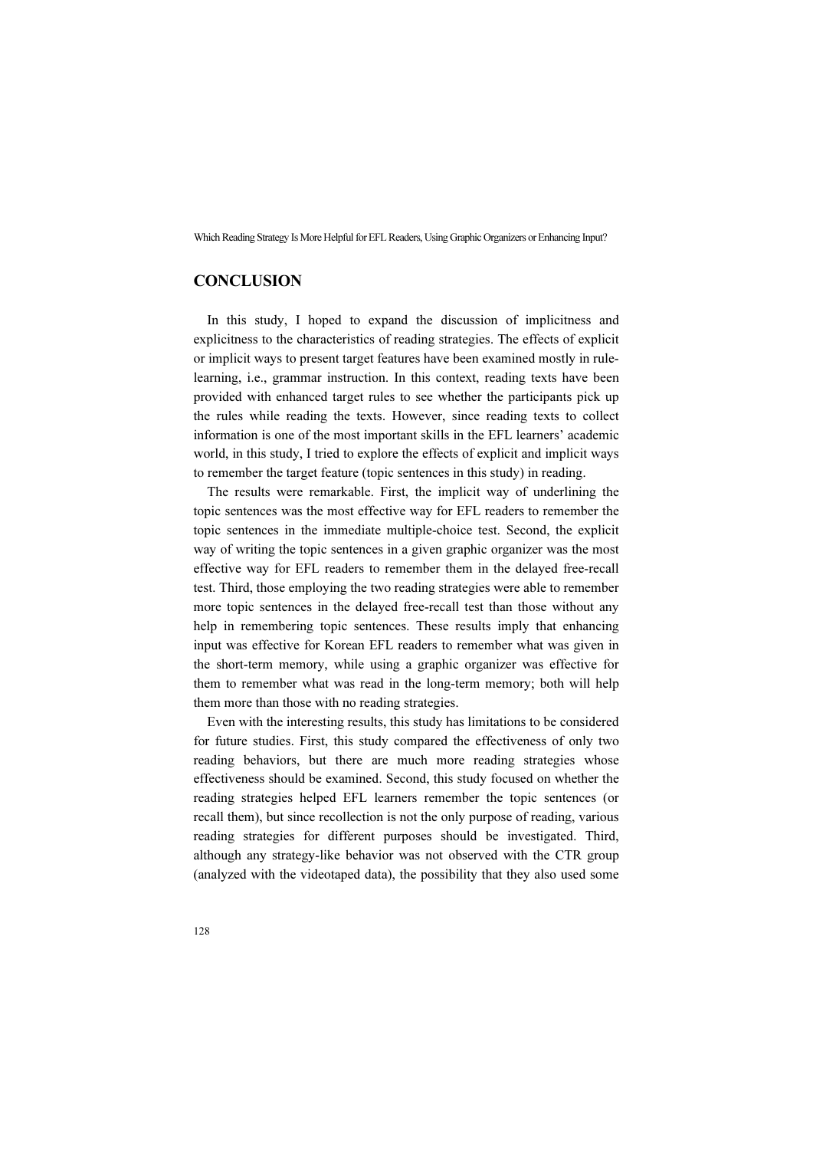# **CONCLUSION**

In this study, I hoped to expand the discussion of implicitness and explicitness to the characteristics of reading strategies. The effects of explicit or implicit ways to present target features have been examined mostly in rulelearning, i.e., grammar instruction. In this context, reading texts have been provided with enhanced target rules to see whether the participants pick up the rules while reading the texts. However, since reading texts to collect information is one of the most important skills in the EFL learners' academic world, in this study, I tried to explore the effects of explicit and implicit ways to remember the target feature (topic sentences in this study) in reading.

The results were remarkable. First, the implicit way of underlining the topic sentences was the most effective way for EFL readers to remember the topic sentences in the immediate multiple-choice test. Second, the explicit way of writing the topic sentences in a given graphic organizer was the most effective way for EFL readers to remember them in the delayed free-recall test. Third, those employing the two reading strategies were able to remember more topic sentences in the delayed free-recall test than those without any help in remembering topic sentences. These results imply that enhancing input was effective for Korean EFL readers to remember what was given in the short-term memory, while using a graphic organizer was effective for them to remember what was read in the long-term memory; both will help them more than those with no reading strategies.

Even with the interesting results, this study has limitations to be considered for future studies. First, this study compared the effectiveness of only two reading behaviors, but there are much more reading strategies whose effectiveness should be examined. Second, this study focused on whether the reading strategies helped EFL learners remember the topic sentences (or recall them), but since recollection is not the only purpose of reading, various reading strategies for different purposes should be investigated. Third, although any strategy-like behavior was not observed with the CTR group (analyzed with the videotaped data), the possibility that they also used some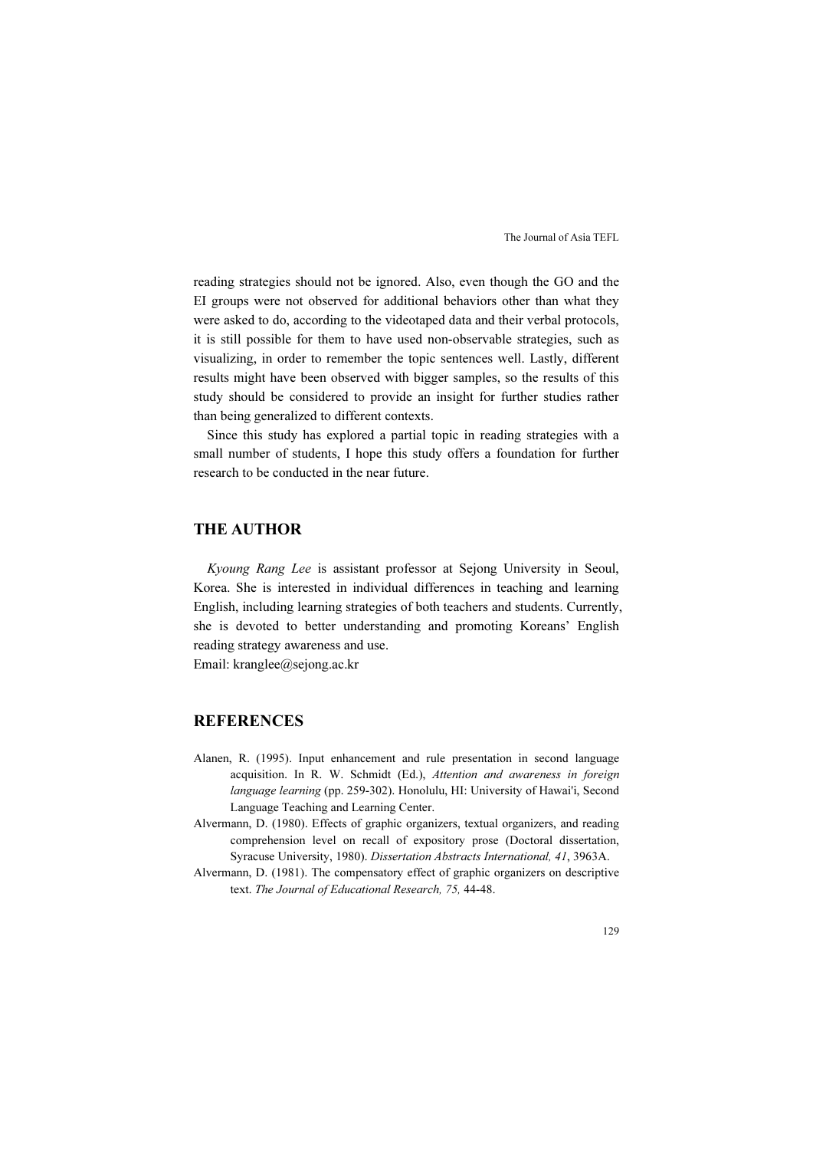reading strategies should not be ignored. Also, even though the GO and the EI groups were not observed for additional behaviors other than what they were asked to do, according to the videotaped data and their verbal protocols, it is still possible for them to have used non-observable strategies, such as visualizing, in order to remember the topic sentences well. Lastly, different results might have been observed with bigger samples, so the results of this study should be considered to provide an insight for further studies rather than being generalized to different contexts.

Since this study has explored a partial topic in reading strategies with a small number of students, I hope this study offers a foundation for further research to be conducted in the near future.

# THE AUTHOR

Kyoung Rang Lee is assistant professor at Sejong University in Seoul, Korea. She is interested in individual differences in teaching and learning English, including learning strategies of both teachers and students. Currently, she is devoted to better understanding and promoting Koreans' English reading strategy awareness and use.

Email: kranglee@sejong.ac.kr

## REFERENCES

- Alanen, R. (1995). Input enhancement and rule presentation in second language acquisition. In R. W. Schmidt (Ed.), Attention and awareness in foreign language learning (pp. 259-302). Honolulu, HI: University of Hawai'i, Second Language Teaching and Learning Center.
- Alvermann, D. (1980). Effects of graphic organizers, textual organizers, and reading comprehension level on recall of expository prose (Doctoral dissertation, Syracuse University, 1980). Dissertation Abstracts International, 41, 3963A.
- Alvermann, D. (1981). The compensatory effect of graphic organizers on descriptive text. The Journal of Educational Research, 75, 44-48.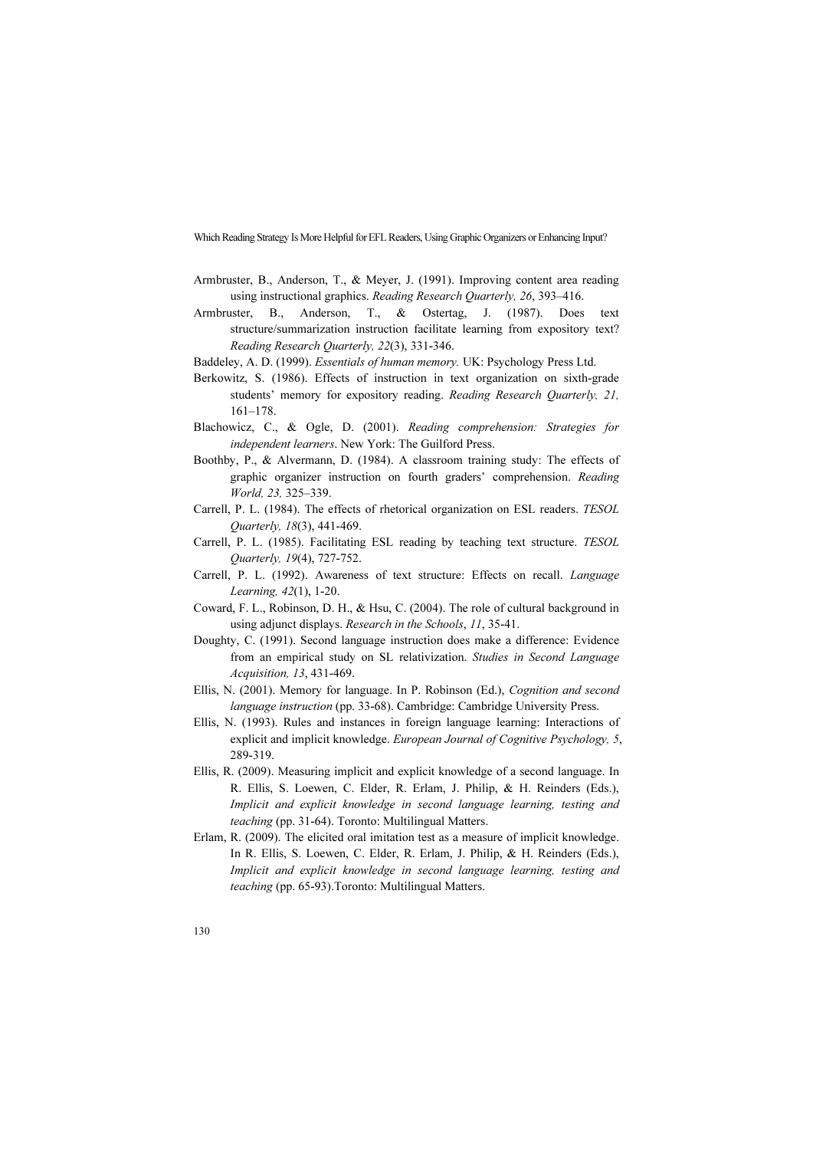- Armbruster, B., Anderson, T., & Meyer, J. (1991). Improving content area reading using instructional graphics. Reading Research Quarterly, 26, 393–416.
- Armbruster, B., Anderson, T., & Ostertag, J. (1987). Does text structure/summarization instruction facilitate learning from expository text? Reading Research Quarterly, 22(3), 331-346.
- Baddeley, A. D. (1999). Essentials of human memory. UK: Psychology Press Ltd.
- Berkowitz, S. (1986). Effects of instruction in text organization on sixth-grade students' memory for expository reading. Reading Research Quarterly, 21, 161–178.
- Blachowicz, C., & Ogle, D. (2001). Reading comprehension: Strategies for independent learners. New York: The Guilford Press.
- Boothby, P., & Alvermann, D. (1984). A classroom training study: The effects of graphic organizer instruction on fourth graders' comprehension. Reading World, 23, 325–339.
- Carrell, P. L. (1984). The effects of rhetorical organization on ESL readers. TESOL Quarterly, 18(3), 441-469.
- Carrell, P. L. (1985). Facilitating ESL reading by teaching text structure. TESOL Quarterly, 19(4), 727-752.
- Carrell, P. L. (1992). Awareness of text structure: Effects on recall. Language Learning, 42(1), 1-20.
- Coward, F. L., Robinson, D. H., & Hsu, C. (2004). The role of cultural background in using adjunct displays. Research in the Schools, 11, 35-41.
- Doughty, C. (1991). Second language instruction does make a difference: Evidence from an empirical study on SL relativization. Studies in Second Language Acquisition, 13, 431-469.
- Ellis, N. (2001). Memory for language. In P. Robinson (Ed.), Cognition and second language instruction (pp. 33-68). Cambridge: Cambridge University Press.
- Ellis, N. (1993). Rules and instances in foreign language learning: Interactions of explicit and implicit knowledge. European Journal of Cognitive Psychology, 5, 289-319.
- Ellis, R. (2009). Measuring implicit and explicit knowledge of a second language. In R. Ellis, S. Loewen, C. Elder, R. Erlam, J. Philip, & H. Reinders (Eds.), Implicit and explicit knowledge in second language learning, testing and teaching (pp. 31-64). Toronto: Multilingual Matters.
- Erlam, R. (2009). The elicited oral imitation test as a measure of implicit knowledge. In R. Ellis, S. Loewen, C. Elder, R. Erlam, J. Philip, & H. Reinders (Eds.), Implicit and explicit knowledge in second language learning, testing and teaching (pp. 65-93).Toronto: Multilingual Matters.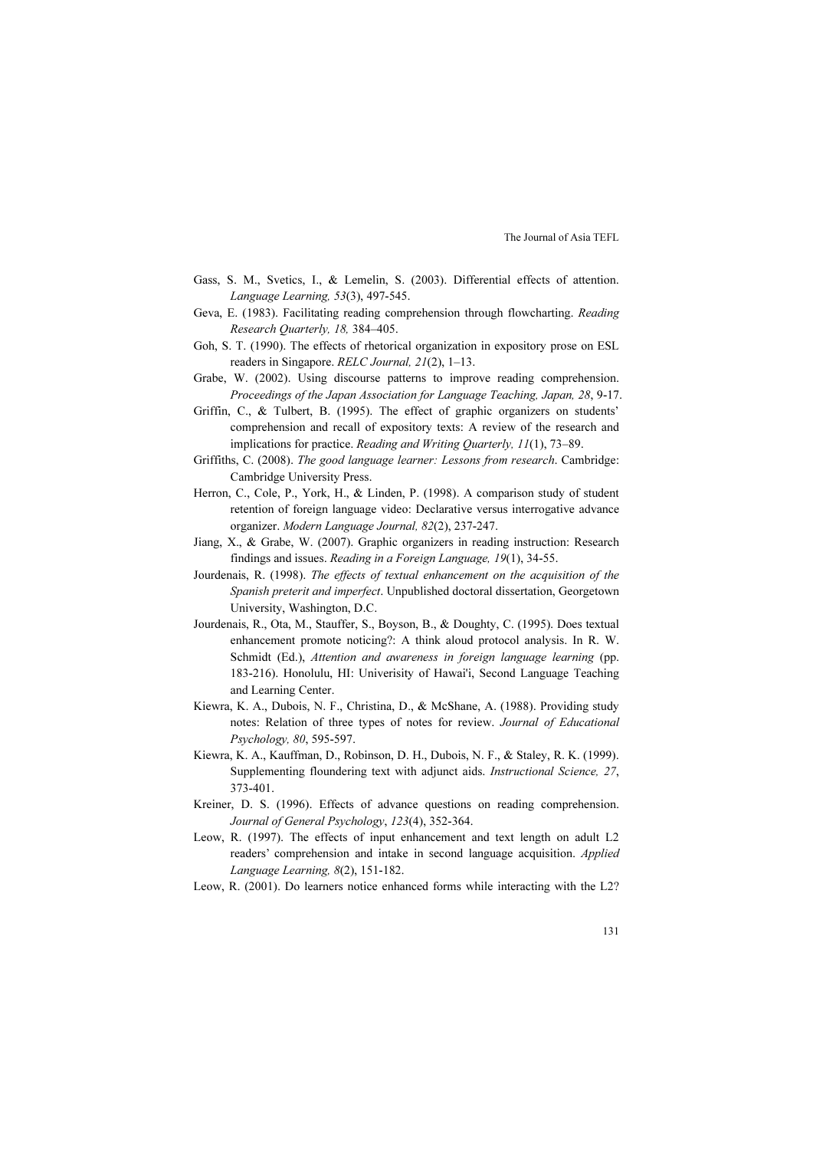- Gass, S. M., Svetics, I., & Lemelin, S. (2003). Differential effects of attention. Language Learning, 53(3), 497-545.
- Geva, E. (1983). Facilitating reading comprehension through flowcharting. Reading Research Quarterly, 18, 384–405.
- Goh, S. T. (1990). The effects of rhetorical organization in expository prose on ESL readers in Singapore. RELC Journal, 21(2), 1–13.
- Grabe, W. (2002). Using discourse patterns to improve reading comprehension. Proceedings of the Japan Association for Language Teaching, Japan, 28, 9-17.
- Griffin, C., & Tulbert, B. (1995). The effect of graphic organizers on students' comprehension and recall of expository texts: A review of the research and implications for practice. Reading and Writing Quarterly, 11(1), 73–89.
- Griffiths, C. (2008). The good language learner: Lessons from research. Cambridge: Cambridge University Press.
- Herron, C., Cole, P., York, H., & Linden, P. (1998). A comparison study of student retention of foreign language video: Declarative versus interrogative advance organizer. Modern Language Journal, 82(2), 237-247.
- Jiang, X., & Grabe, W. (2007). Graphic organizers in reading instruction: Research findings and issues. Reading in a Foreign Language, 19(1), 34-55.
- Jourdenais, R. (1998). The effects of textual enhancement on the acquisition of the Spanish preterit and imperfect. Unpublished doctoral dissertation, Georgetown University, Washington, D.C.
- Jourdenais, R., Ota, M., Stauffer, S., Boyson, B., & Doughty, C. (1995). Does textual enhancement promote noticing?: A think aloud protocol analysis. In R. W. Schmidt (Ed.), Attention and awareness in foreign language learning (pp. 183-216). Honolulu, HI: Univerisity of Hawai'i, Second Language Teaching and Learning Center.
- Kiewra, K. A., Dubois, N. F., Christina, D., & McShane, A. (1988). Providing study notes: Relation of three types of notes for review. Journal of Educational Psychology, 80, 595-597.
- Kiewra, K. A., Kauffman, D., Robinson, D. H., Dubois, N. F., & Staley, R. K. (1999). Supplementing floundering text with adjunct aids. Instructional Science, 27, 373-401.
- Kreiner, D. S. (1996). Effects of advance questions on reading comprehension. Journal of General Psychology, 123(4), 352-364.
- Leow, R. (1997). The effects of input enhancement and text length on adult L2 readers' comprehension and intake in second language acquisition. Applied Language Learning, 8(2), 151-182.
- Leow, R. (2001). Do learners notice enhanced forms while interacting with the L2?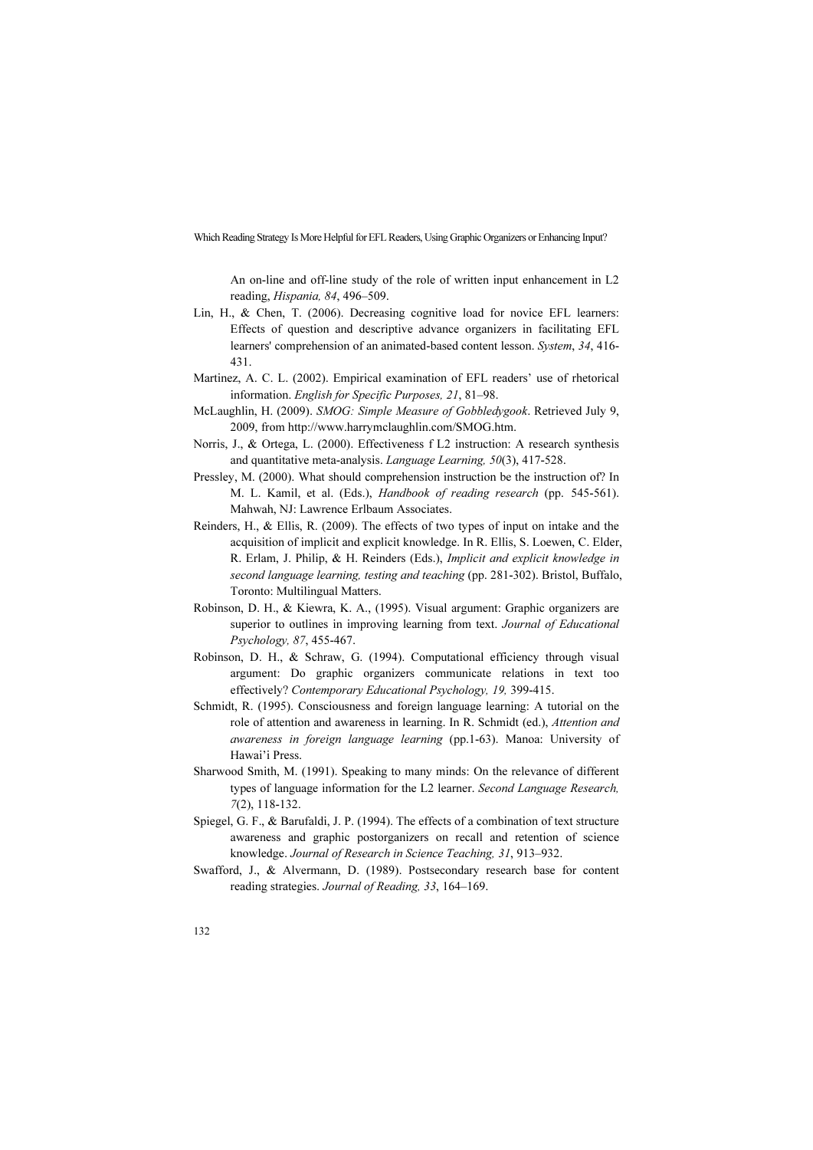An on-line and off-line study of the role of written input enhancement in L2 reading, Hispania, 84, 496–509.

- Lin, H., & Chen, T. (2006). Decreasing cognitive load for novice EFL learners: Effects of question and descriptive advance organizers in facilitating EFL learners' comprehension of an animated-based content lesson. System, 34, 416- 431.
- Martinez, A. C. L. (2002). Empirical examination of EFL readers' use of rhetorical information. English for Specific Purposes, 21, 81–98.
- McLaughlin, H. (2009). SMOG: Simple Measure of Gobbledygook. Retrieved July 9, 2009, from http://www.harrymclaughlin.com/SMOG.htm.
- Norris, J., & Ortega, L. (2000). Effectiveness f L2 instruction: A research synthesis and quantitative meta-analysis. Language Learning, 50(3), 417-528.
- Pressley, M. (2000). What should comprehension instruction be the instruction of? In M. L. Kamil, et al. (Eds.), Handbook of reading research (pp. 545-561). Mahwah, NJ: Lawrence Erlbaum Associates.
- Reinders, H., & Ellis, R. (2009). The effects of two types of input on intake and the acquisition of implicit and explicit knowledge. In R. Ellis, S. Loewen, C. Elder, R. Erlam, J. Philip, & H. Reinders (Eds.), Implicit and explicit knowledge in second language learning, testing and teaching (pp. 281-302). Bristol, Buffalo, Toronto: Multilingual Matters.
- Robinson, D. H., & Kiewra, K. A., (1995). Visual argument: Graphic organizers are superior to outlines in improving learning from text. Journal of Educational Psychology, 87, 455-467.
- Robinson, D. H., & Schraw, G. (1994). Computational efficiency through visual argument: Do graphic organizers communicate relations in text too effectively? Contemporary Educational Psychology, 19, 399-415.
- Schmidt, R. (1995). Consciousness and foreign language learning: A tutorial on the role of attention and awareness in learning. In R. Schmidt (ed.), Attention and awareness in foreign language learning (pp.1-63). Manoa: University of Hawai'i Press.
- Sharwood Smith, M. (1991). Speaking to many minds: On the relevance of different types of language information for the L2 learner. Second Language Research, 7(2), 118-132.
- Spiegel, G. F., & Barufaldi, J. P. (1994). The effects of a combination of text structure awareness and graphic postorganizers on recall and retention of science knowledge. Journal of Research in Science Teaching, 31, 913–932.
- Swafford, J., & Alvermann, D. (1989). Postsecondary research base for content reading strategies. Journal of Reading, 33, 164–169.